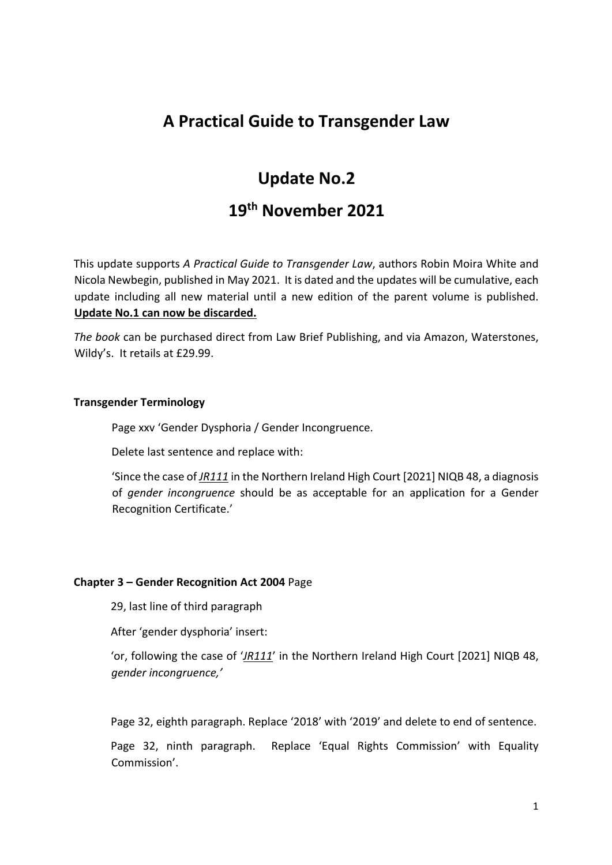# **A Practical Guide to Transgender Law**

# **Update No.2**

# **19th November 2021**

This update supports *A Practical Guide to Transgender Law*, authors Robin Moira White and Nicola Newbegin, published in May 2021. It is dated and the updates will be cumulative, each update including all new material until a new edition of the parent volume is published. **Update No.1 can now be discarded.**

*The book* can be purchased direct from Law Brief Publishing, and via Amazon, Waterstones, Wildy's. It retails at £29.99.

#### **Transgender Terminology**

Page xxv 'Gender Dysphoria / Gender Incongruence.

Delete last sentence and replace with:

'Since the case of *JR111* in the Northern Ireland High Court [2021] NIQB 48, a diagnosis of *gender incongruence* should be as acceptable for an application for a Gender Recognition Certificate.'

#### **Chapter 3 – Gender Recognition Act 2004** Page

29, last line of third paragraph

After 'gender dysphoria' insert:

'or, following the case of '*JR111*' in the Northern Ireland High Court [2021] NIQB 48, *gender incongruence,'* 

Page 32, eighth paragraph. Replace '2018' with '2019' and delete to end of sentence.

Page 32, ninth paragraph. Replace 'Equal Rights Commission' with Equality Commission'.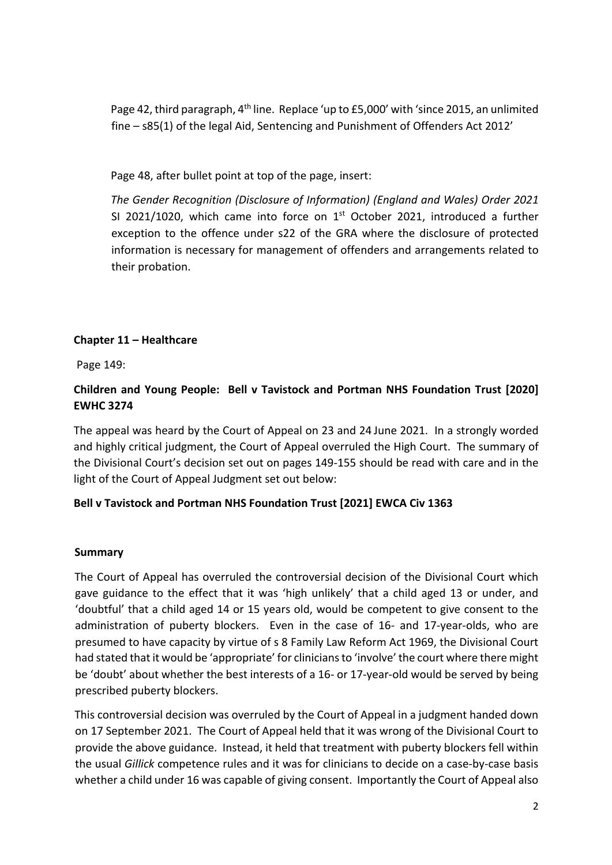Page 42, third paragraph, 4th line. Replace 'up to £5,000' with 'since 2015, an unlimited fine – s85(1) of the legal Aid, Sentencing and Punishment of Offenders Act 2012'

Page 48, after bullet point at top of the page, insert:

*The Gender Recognition (Disclosure of Information) (England and Wales) Order 2021* SI 2021/1020, which came into force on  $1<sup>st</sup>$  October 2021, introduced a further exception to the offence under s22 of the GRA where the disclosure of protected information is necessary for management of offenders and arrangements related to their probation.

## **Chapter 11 – Healthcare**

Page 149:

## **Children and Young People: Bell v Tavistock and Portman NHS Foundation Trust [2020] EWHC 3274**

The appeal was heard by the Court of Appeal on 23 and 24 June 2021. In a strongly worded and highly critical judgment, the Court of Appeal overruled the High Court. The summary of the Divisional Court's decision set out on pages 149-155 should be read with care and in the light of the Court of Appeal Judgment set out below:

## **Bell v Tavistock and Portman NHS Foundation Trust [2021] EWCA Civ 1363**

## **Summary**

The Court of Appeal has overruled the controversial decision of the Divisional Court which gave guidance to the effect that it was 'high unlikely' that a child aged 13 or under, and 'doubtful' that a child aged 14 or 15 years old, would be competent to give consent to the administration of puberty blockers. Even in the case of 16- and 17-year-olds, who are presumed to have capacity by virtue of s 8 Family Law Reform Act 1969, the Divisional Court had stated that it would be 'appropriate' for clinicians to 'involve' the court where there might be 'doubt' about whether the best interests of a 16- or 17-year-old would be served by being prescribed puberty blockers.

This controversial decision was overruled by the Court of Appeal in a judgment handed down on 17 September 2021. The Court of Appeal held that it was wrong of the Divisional Court to provide the above guidance. Instead, it held that treatment with puberty blockers fell within the usual *Gillick* competence rules and it was for clinicians to decide on a case-by-case basis whether a child under 16 was capable of giving consent. Importantly the Court of Appeal also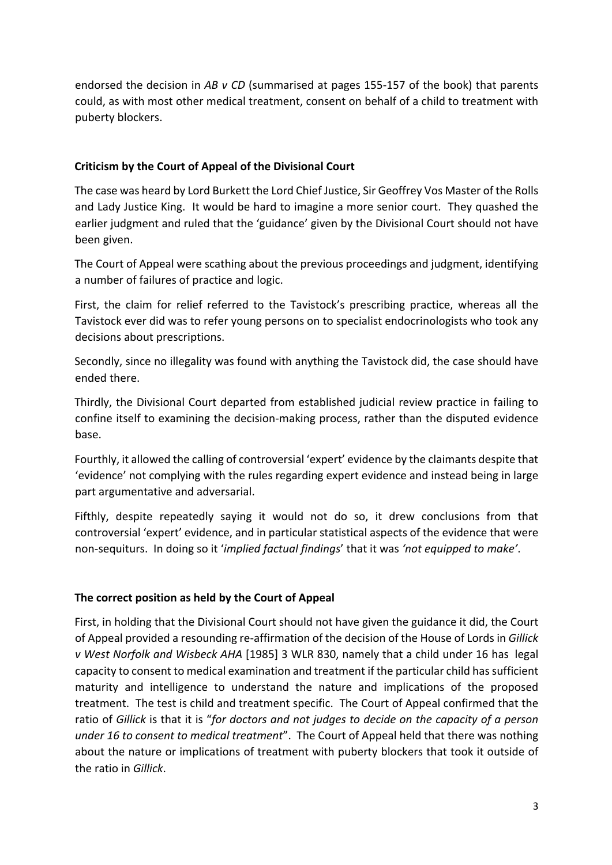endorsed the decision in *AB v CD* (summarised at pages 155-157 of the book) that parents could, as with most other medical treatment, consent on behalf of a child to treatment with puberty blockers.

## **Criticism by the Court of Appeal of the Divisional Court**

The case was heard by Lord Burkett the Lord Chief Justice, Sir Geoffrey Vos Master of the Rolls and Lady Justice King. It would be hard to imagine a more senior court. They quashed the earlier judgment and ruled that the 'guidance' given by the Divisional Court should not have been given.

The Court of Appeal were scathing about the previous proceedings and judgment, identifying a number of failures of practice and logic.

First, the claim for relief referred to the Tavistock's prescribing practice, whereas all the Tavistock ever did was to refer young persons on to specialist endocrinologists who took any decisions about prescriptions.

Secondly, since no illegality was found with anything the Tavistock did, the case should have ended there.

Thirdly, the Divisional Court departed from established judicial review practice in failing to confine itself to examining the decision-making process, rather than the disputed evidence base.

Fourthly, it allowed the calling of controversial 'expert' evidence by the claimants despite that 'evidence' not complying with the rules regarding expert evidence and instead being in large part argumentative and adversarial.

Fifthly, despite repeatedly saying it would not do so, it drew conclusions from that controversial 'expert' evidence, and in particular statistical aspects of the evidence that were non-sequiturs. In doing so it '*implied factual findings*' that it was *'not equipped to make'*.

## **The correct position as held by the Court of Appeal**

First, in holding that the Divisional Court should not have given the guidance it did, the Court of Appeal provided a resounding re-affirmation of the decision of the House of Lords in *Gillick v West Norfolk and Wisbeck AHA* [1985] 3 WLR 830, namely that a child under 16 has legal capacity to consent to medical examination and treatment if the particular child has sufficient maturity and intelligence to understand the nature and implications of the proposed treatment. The test is child and treatment specific. The Court of Appeal confirmed that the ratio of *Gillick* is that it is "*for doctors and not judges to decide on the capacity of a person under 16 to consent to medical treatment*". The Court of Appeal held that there was nothing about the nature or implications of treatment with puberty blockers that took it outside of the ratio in *Gillick*.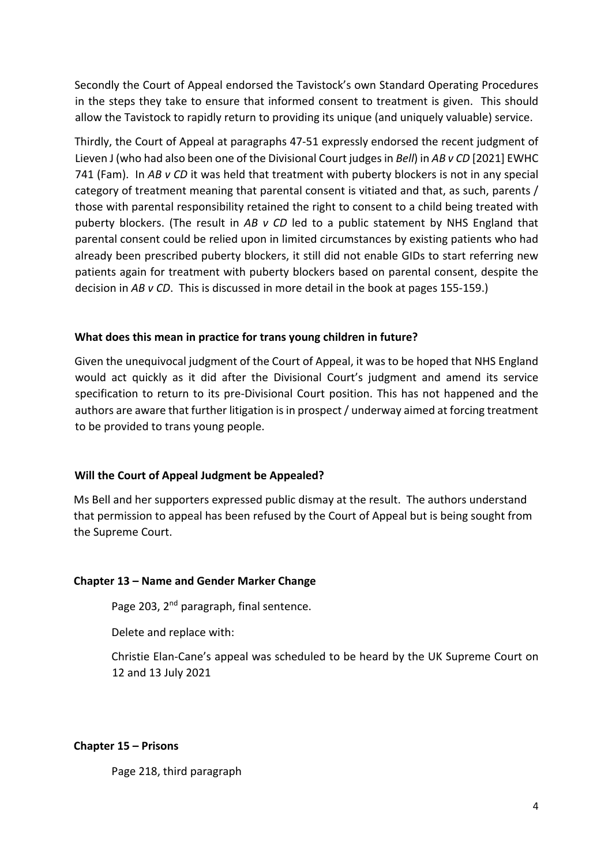Secondly the Court of Appeal endorsed the Tavistock's own Standard Operating Procedures in the steps they take to ensure that informed consent to treatment is given. This should allow the Tavistock to rapidly return to providing its unique (and uniquely valuable) service.

Thirdly, the Court of Appeal at paragraphs 47-51 expressly endorsed the recent judgment of Lieven J (who had also been one of the Divisional Court judges in *Bell*) in *AB v CD* [2021] EWHC 741 (Fam). In *AB v CD* it was held that treatment with puberty blockers is not in any special category of treatment meaning that parental consent is vitiated and that, as such, parents / those with parental responsibility retained the right to consent to a child being treated with puberty blockers. (The result in *AB v CD* led to a public statement by NHS England that parental consent could be relied upon in limited circumstances by existing patients who had already been prescribed puberty blockers, it still did not enable GIDs to start referring new patients again for treatment with puberty blockers based on parental consent, despite the decision in *AB v CD*. This is discussed in more detail in the book at pages 155-159.)

#### **What does this mean in practice for trans young children in future?**

Given the unequivocal judgment of the Court of Appeal, it was to be hoped that NHS England would act quickly as it did after the Divisional Court's judgment and amend its service specification to return to its pre-Divisional Court position. This has not happened and the authors are aware that further litigation is in prospect / underway aimed at forcing treatment to be provided to trans young people.

## **Will the Court of Appeal Judgment be Appealed?**

Ms Bell and her supporters expressed public dismay at the result. The authors understand that permission to appeal has been refused by the Court of Appeal but is being sought from the Supreme Court.

#### **Chapter 13 – Name and Gender Marker Change**

Page 203, 2<sup>nd</sup> paragraph, final sentence.

Delete and replace with:

Christie Elan-Cane's appeal was scheduled to be heard by the UK Supreme Court on 12 and 13 July 2021

#### **Chapter 15 – Prisons**

Page 218, third paragraph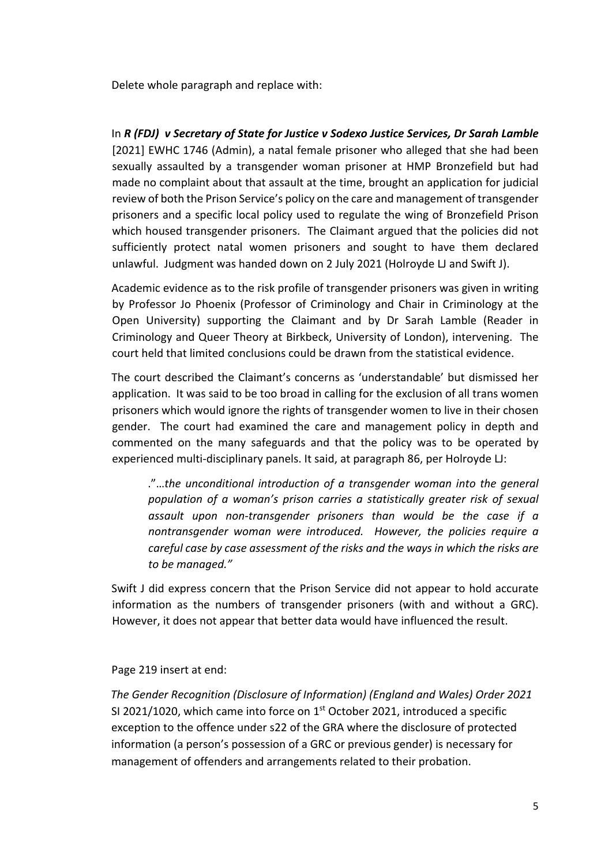Delete whole paragraph and replace with:

In *R (FDJ) v Secretary of State for Justice v Sodexo Justice Services, Dr Sarah Lamble* [2021] EWHC 1746 (Admin), a natal female prisoner who alleged that she had been sexually assaulted by a transgender woman prisoner at HMP Bronzefield but had made no complaint about that assault at the time, brought an application for judicial review of both the Prison Service's policy on the care and management of transgender prisoners and a specific local policy used to regulate the wing of Bronzefield Prison which housed transgender prisoners. The Claimant argued that the policies did not sufficiently protect natal women prisoners and sought to have them declared unlawful. Judgment was handed down on 2 July 2021 (Holroyde LJ and Swift J).

Academic evidence as to the risk profile of transgender prisoners was given in writing by Professor Jo Phoenix (Professor of Criminology and Chair in Criminology at the Open University) supporting the Claimant and by Dr Sarah Lamble (Reader in Criminology and Queer Theory at Birkbeck, University of London), intervening. The court held that limited conclusions could be drawn from the statistical evidence.

The court described the Claimant's concerns as 'understandable' but dismissed her application. It was said to be too broad in calling for the exclusion of all trans women prisoners which would ignore the rights of transgender women to live in their chosen gender. The court had examined the care and management policy in depth and commented on the many safeguards and that the policy was to be operated by experienced multi-disciplinary panels. It said, at paragraph 86, per Holroyde LJ:

."…*the unconditional introduction of a transgender woman into the general population of a woman's prison carries a statistically greater risk of sexual assault upon non-transgender prisoners than would be the case if a nontransgender woman were introduced. However, the policies require a careful case by case assessment of the risks and the ways in which the risks are to be managed."*

Swift J did express concern that the Prison Service did not appear to hold accurate information as the numbers of transgender prisoners (with and without a GRC). However, it does not appear that better data would have influenced the result.

Page 219 insert at end:

*The Gender Recognition (Disclosure of Information) (England and Wales) Order 2021* SI 2021/1020, which came into force on 1<sup>st</sup> October 2021, introduced a specific exception to the offence under s22 of the GRA where the disclosure of protected information (a person's possession of a GRC or previous gender) is necessary for management of offenders and arrangements related to their probation.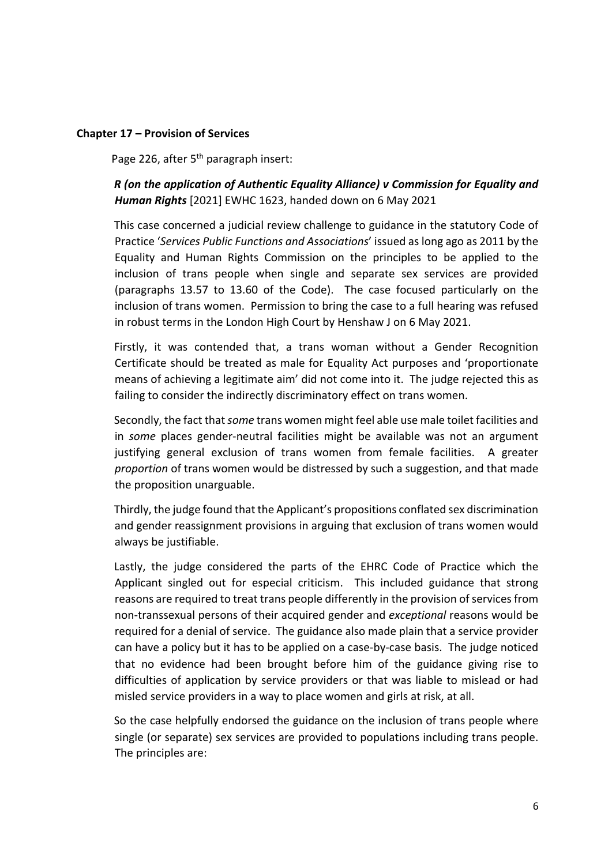#### **Chapter 17 – Provision of Services**

Page 226, after 5<sup>th</sup> paragraph insert:

## *R (on the application of Authentic Equality Alliance) v Commission for Equality and Human Rights* [2021] EWHC 1623, handed down on 6 May 2021

This case concerned a judicial review challenge to guidance in the statutory Code of Practice '*Services Public Functions and Associations*' issued as long ago as 2011 by the Equality and Human Rights Commission on the principles to be applied to the inclusion of trans people when single and separate sex services are provided (paragraphs 13.57 to 13.60 of the Code). The case focused particularly on the inclusion of trans women. Permission to bring the case to a full hearing was refused in robust terms in the London High Court by Henshaw J on 6 May 2021.

Firstly, it was contended that, a trans woman without a Gender Recognition Certificate should be treated as male for Equality Act purposes and 'proportionate means of achieving a legitimate aim' did not come into it. The judge rejected this as failing to consider the indirectly discriminatory effect on trans women.

Secondly, the fact that *some* trans women might feel able use male toilet facilities and in *some* places gender-neutral facilities might be available was not an argument justifying general exclusion of trans women from female facilities. A greater *proportion* of trans women would be distressed by such a suggestion, and that made the proposition unarguable.

Thirdly, the judge found that the Applicant's propositions conflated sex discrimination and gender reassignment provisions in arguing that exclusion of trans women would always be justifiable.

Lastly, the judge considered the parts of the EHRC Code of Practice which the Applicant singled out for especial criticism. This included guidance that strong reasons are required to treat trans people differently in the provision of services from non-transsexual persons of their acquired gender and *exceptional* reasons would be required for a denial of service. The guidance also made plain that a service provider can have a policy but it has to be applied on a case-by-case basis. The judge noticed that no evidence had been brought before him of the guidance giving rise to difficulties of application by service providers or that was liable to mislead or had misled service providers in a way to place women and girls at risk, at all.

So the case helpfully endorsed the guidance on the inclusion of trans people where single (or separate) sex services are provided to populations including trans people. The principles are: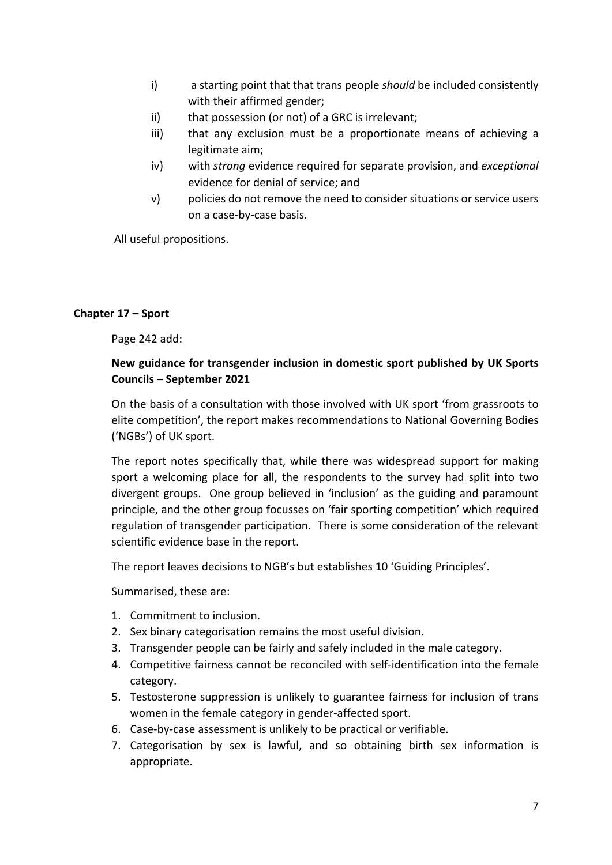- i) a starting point that that trans people *should* be included consistently with their affirmed gender;
- ii) that possession (or not) of a GRC is irrelevant;
- iii) that any exclusion must be a proportionate means of achieving a legitimate aim;
- iv) with *strong* evidence required for separate provision, and *exceptional*  evidence for denial of service; and
- v) policies do not remove the need to consider situations or service users on a case-by-case basis.

All useful propositions.

#### **Chapter 17 – Sport**

Page 242 add:

### **New guidance for transgender inclusion in domestic sport published by UK Sports Councils – September 2021**

On the basis of a consultation with those involved with UK sport 'from grassroots to elite competition', the report makes recommendations to National Governing Bodies ('NGBs') of UK sport.

The report notes specifically that, while there was widespread support for making sport a welcoming place for all, the respondents to the survey had split into two divergent groups. One group believed in 'inclusion' as the guiding and paramount principle, and the other group focusses on 'fair sporting competition' which required regulation of transgender participation. There is some consideration of the relevant scientific evidence base in the report.

The report leaves decisions to NGB's but establishes 10 'Guiding Principles'.

Summarised, these are:

- 1. Commitment to inclusion.
- 2. Sex binary categorisation remains the most useful division.
- 3. Transgender people can be fairly and safely included in the male category.
- 4. Competitive fairness cannot be reconciled with self-identification into the female category.
- 5. Testosterone suppression is unlikely to guarantee fairness for inclusion of trans women in the female category in gender-affected sport.
- 6. Case-by-case assessment is unlikely to be practical or verifiable.
- 7. Categorisation by sex is lawful, and so obtaining birth sex information is appropriate.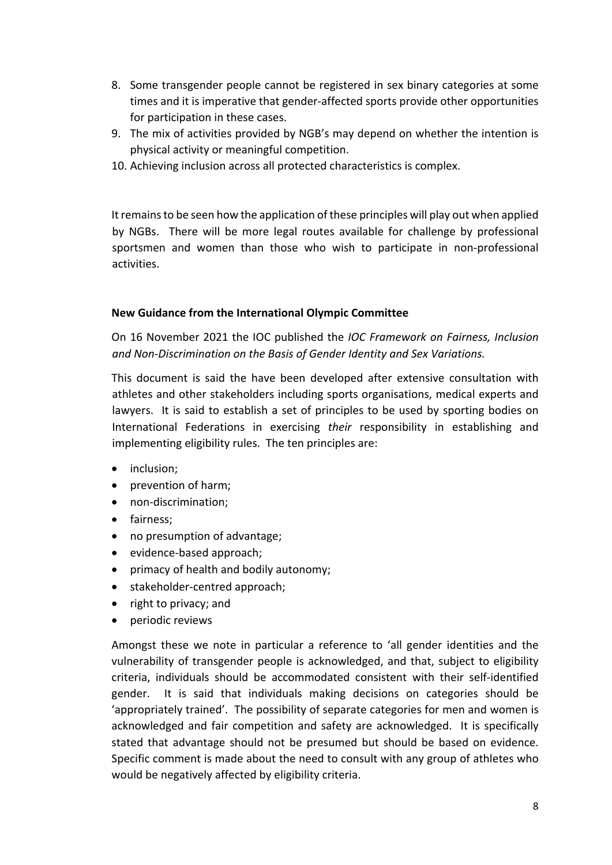- 8. Some transgender people cannot be registered in sex binary categories at some times and it is imperative that gender-affected sports provide other opportunities for participation in these cases.
- 9. The mix of activities provided by NGB's may depend on whether the intention is physical activity or meaningful competition.
- 10. Achieving inclusion across all protected characteristics is complex.

It remains to be seen how the application of these principles will play out when applied by NGBs. There will be more legal routes available for challenge by professional sportsmen and women than those who wish to participate in non-professional activities.

#### **New Guidance from the International Olympic Committee**

On 16 November 2021 the IOC published the *IOC Framework on Fairness, Inclusion and Non-Discrimination on the Basis of Gender Identity and Sex Variations.* 

This document is said the have been developed after extensive consultation with athletes and other stakeholders including sports organisations, medical experts and lawyers. It is said to establish a set of principles to be used by sporting bodies on International Federations in exercising *their* responsibility in establishing and implementing eligibility rules. The ten principles are:

- inclusion;
- prevention of harm;
- non-discrimination;
- fairness;
- no presumption of advantage;
- evidence-based approach;
- primacy of health and bodily autonomy;
- stakeholder-centred approach;
- right to privacy; and
- periodic reviews

Amongst these we note in particular a reference to 'all gender identities and the vulnerability of transgender people is acknowledged, and that, subject to eligibility criteria, individuals should be accommodated consistent with their self-identified gender. It is said that individuals making decisions on categories should be 'appropriately trained'. The possibility of separate categories for men and women is acknowledged and fair competition and safety are acknowledged. It is specifically stated that advantage should not be presumed but should be based on evidence. Specific comment is made about the need to consult with any group of athletes who would be negatively affected by eligibility criteria.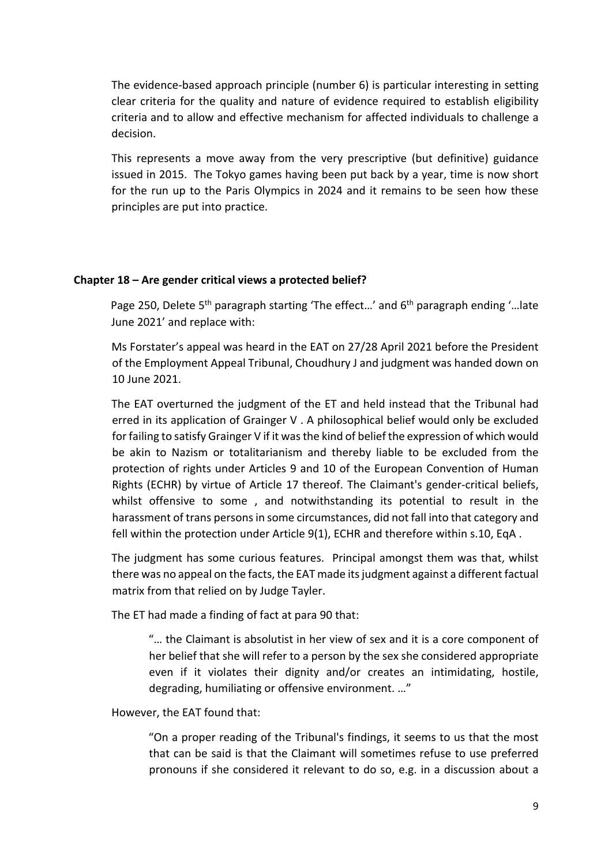The evidence-based approach principle (number 6) is particular interesting in setting clear criteria for the quality and nature of evidence required to establish eligibility criteria and to allow and effective mechanism for affected individuals to challenge a decision.

This represents a move away from the very prescriptive (but definitive) guidance issued in 2015. The Tokyo games having been put back by a year, time is now short for the run up to the Paris Olympics in 2024 and it remains to be seen how these principles are put into practice.

#### **Chapter 18 – Are gender critical views a protected belief?**

Page 250, Delete 5<sup>th</sup> paragraph starting 'The effect...' and  $6<sup>th</sup>$  paragraph ending '... late June 2021' and replace with:

Ms Forstater's appeal was heard in the EAT on 27/28 April 2021 before the President of the Employment Appeal Tribunal, Choudhury J and judgment was handed down on 10 June 2021.

The EAT overturned the judgment of the ET and held instead that the Tribunal had erred in its application of Grainger V . A philosophical belief would only be excluded for failing to satisfy Grainger V if it was the kind of belief the expression of which would be akin to Nazism or totalitarianism and thereby liable to be excluded from the protection of rights under Articles 9 and 10 of the European Convention of Human Rights (ECHR) by virtue of Article 17 thereof. The Claimant's gender-critical beliefs, whilst offensive to some , and notwithstanding its potential to result in the harassment of trans persons in some circumstances, did not fall into that category and fell within the protection under Article 9(1), ECHR and therefore within s.10, EqA .

The judgment has some curious features. Principal amongst them was that, whilst there was no appeal on the facts, the EAT made its judgment against a different factual matrix from that relied on by Judge Tayler.

The ET had made a finding of fact at para 90 that:

"… the Claimant is absolutist in her view of sex and it is a core component of her belief that she will refer to a person by the sex she considered appropriate even if it violates their dignity and/or creates an intimidating, hostile, degrading, humiliating or offensive environment. …"

However, the EAT found that:

"On a proper reading of the Tribunal's findings, it seems to us that the most that can be said is that the Claimant will sometimes refuse to use preferred pronouns if she considered it relevant to do so, e.g. in a discussion about a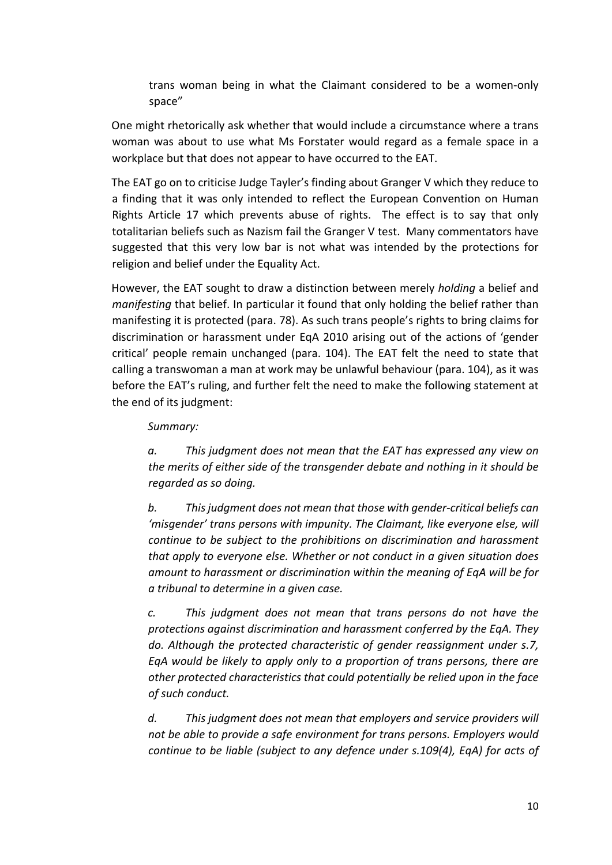trans woman being in what the Claimant considered to be a women-only space"

One might rhetorically ask whether that would include a circumstance where a trans woman was about to use what Ms Forstater would regard as a female space in a workplace but that does not appear to have occurred to the EAT.

The EAT go on to criticise Judge Tayler's finding about Granger V which they reduce to a finding that it was only intended to reflect the European Convention on Human Rights Article 17 which prevents abuse of rights. The effect is to say that only totalitarian beliefs such as Nazism fail the Granger V test. Many commentators have suggested that this very low bar is not what was intended by the protections for religion and belief under the Equality Act.

However, the EAT sought to draw a distinction between merely *holding* a belief and *manifesting* that belief. In particular it found that only holding the belief rather than manifesting it is protected (para. 78). As such trans people's rights to bring claims for discrimination or harassment under EqA 2010 arising out of the actions of 'gender critical' people remain unchanged (para. 104). The EAT felt the need to state that calling a transwoman a man at work may be unlawful behaviour (para. 104), as it was before the EAT's ruling, and further felt the need to make the following statement at the end of its judgment:

#### *Summary:*

*a. This judgment does not mean that the EAT has expressed any view on the merits of either side of the transgender debate and nothing in it should be regarded as so doing.* 

*b. This judgment does not mean that those with gender-critical beliefs can 'misgender' trans persons with impunity. The Claimant, like everyone else, will continue to be subject to the prohibitions on discrimination and harassment that apply to everyone else. Whether or not conduct in a given situation does amount to harassment or discrimination within the meaning of EqA will be for a tribunal to determine in a given case.* 

*c. This judgment does not mean that trans persons do not have the protections against discrimination and harassment conferred by the EqA. They do. Although the protected characteristic of gender reassignment under s.7, EqA would be likely to apply only to a proportion of trans persons, there are other protected characteristics that could potentially be relied upon in the face of such conduct.* 

*d. This judgment does not mean that employers and service providers will not be able to provide a safe environment for trans persons. Employers would continue to be liable (subject to any defence under s.109(4), EqA) for acts of*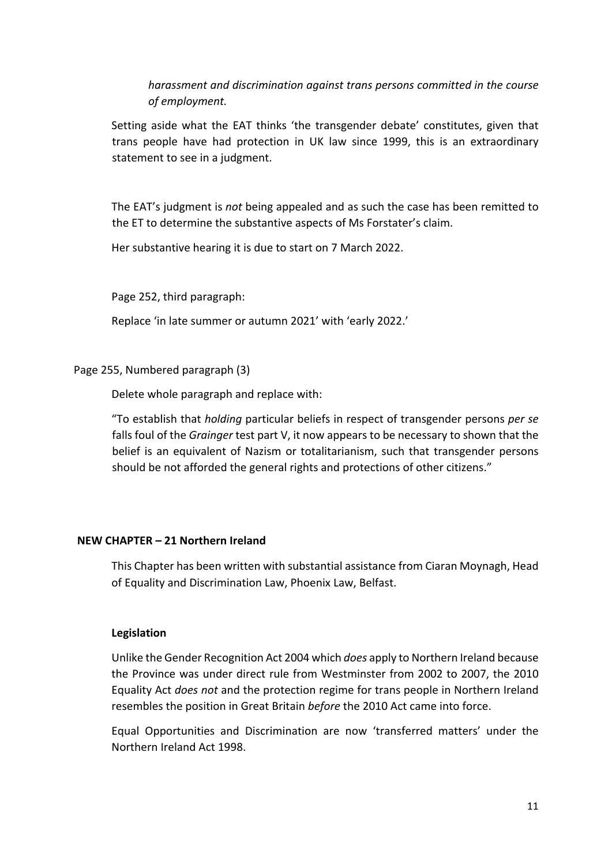*harassment and discrimination against trans persons committed in the course of employment.* 

Setting aside what the EAT thinks 'the transgender debate' constitutes, given that trans people have had protection in UK law since 1999, this is an extraordinary statement to see in a judgment.

The EAT's judgment is *not* being appealed and as such the case has been remitted to the ET to determine the substantive aspects of Ms Forstater's claim.

Her substantive hearing it is due to start on 7 March 2022.

Page 252, third paragraph:

Replace 'in late summer or autumn 2021' with 'early 2022.'

Page 255, Numbered paragraph (3)

Delete whole paragraph and replace with:

"To establish that *holding* particular beliefs in respect of transgender persons *per se* falls foul of the *Grainger* test part V, it now appears to be necessary to shown that the belief is an equivalent of Nazism or totalitarianism, such that transgender persons should be not afforded the general rights and protections of other citizens."

#### **NEW CHAPTER – 21 Northern Ireland**

This Chapter has been written with substantial assistance from Ciaran Moynagh, Head of Equality and Discrimination Law, Phoenix Law, Belfast.

#### **Legislation**

Unlike the Gender Recognition Act 2004 which *does* apply to Northern Ireland because the Province was under direct rule from Westminster from 2002 to 2007, the 2010 Equality Act *does not* and the protection regime for trans people in Northern Ireland resembles the position in Great Britain *before* the 2010 Act came into force.

Equal Opportunities and Discrimination are now 'transferred matters' under the Northern Ireland Act 1998.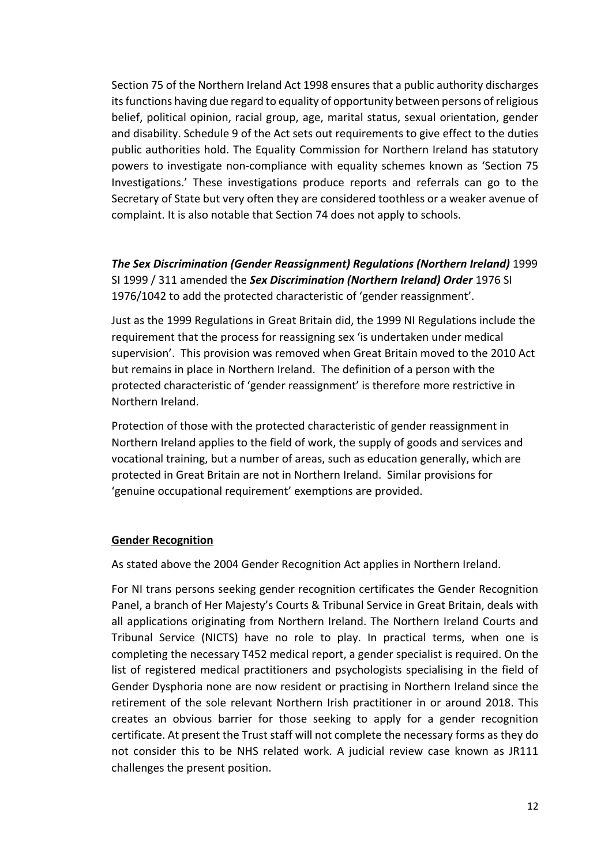Section 75 of the Northern Ireland Act 1998 ensures that a public authority discharges its functions having due regard to equality of opportunity between persons of religious belief, political opinion, racial group, age, marital status, sexual orientation, gender and disability. Schedule 9 of the Act sets out requirements to give effect to the duties public authorities hold. The Equality Commission for Northern Ireland has statutory powers to investigate non-compliance with equality schemes known as 'Section 75 Investigations.' These investigations produce reports and referrals can go to the Secretary of State but very often they are considered toothless or a weaker avenue of complaint. It is also notable that Section 74 does not apply to schools.

*The Sex Discrimination (Gender Reassignment) Regulations (Northern Ireland)* 1999 SI 1999 / 311 amended the *Sex Discrimination (Northern Ireland) Order* 1976 SI 1976/1042 to add the protected characteristic of 'gender reassignment'.

Just as the 1999 Regulations in Great Britain did, the 1999 NI Regulations include the requirement that the process for reassigning sex 'is undertaken under medical supervision'. This provision was removed when Great Britain moved to the 2010 Act but remains in place in Northern Ireland. The definition of a person with the protected characteristic of 'gender reassignment' is therefore more restrictive in Northern Ireland.

Protection of those with the protected characteristic of gender reassignment in Northern Ireland applies to the field of work, the supply of goods and services and vocational training, but a number of areas, such as education generally, which are protected in Great Britain are not in Northern Ireland. Similar provisions for 'genuine occupational requirement' exemptions are provided.

#### **Gender Recognition**

As stated above the 2004 Gender Recognition Act applies in Northern Ireland.

For NI trans persons seeking gender recognition certificates the Gender Recognition Panel, a branch of Her Majesty's Courts & Tribunal Service in Great Britain, deals with all applications originating from Northern Ireland. The Northern Ireland Courts and Tribunal Service (NICTS) have no role to play. In practical terms, when one is completing the necessary T452 medical report, a gender specialist is required. On the list of registered medical practitioners and psychologists specialising in the field of Gender Dysphoria none are now resident or practising in Northern Ireland since the retirement of the sole relevant Northern Irish practitioner in or around 2018. This creates an obvious barrier for those seeking to apply for a gender recognition certificate. At present the Trust staff will not complete the necessary forms as they do not consider this to be NHS related work. A judicial review case known as JR111 challenges the present position.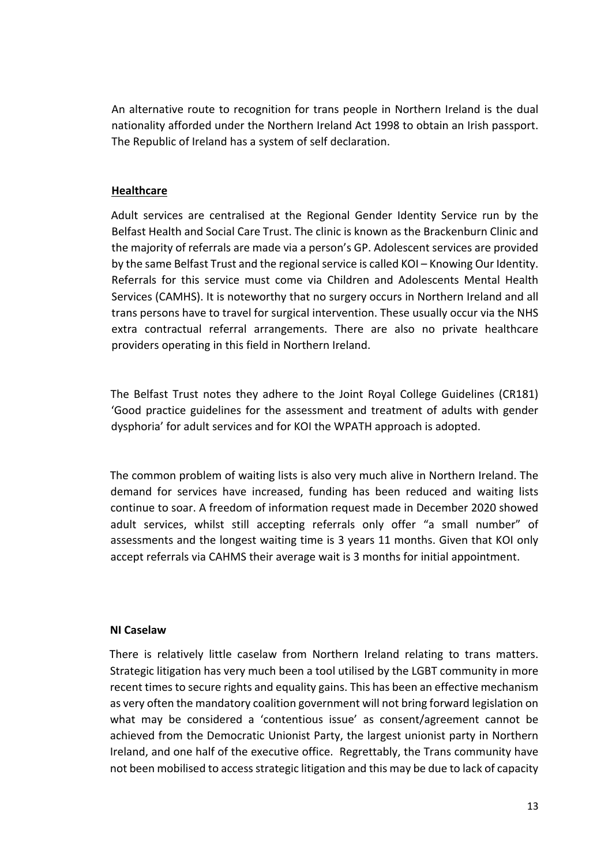An alternative route to recognition for trans people in Northern Ireland is the dual nationality afforded under the Northern Ireland Act 1998 to obtain an Irish passport. The Republic of Ireland has a system of self declaration.

#### **Healthcare**

Adult services are centralised at the Regional Gender Identity Service run by the Belfast Health and Social Care Trust. The clinic is known as the Brackenburn Clinic and the majority of referrals are made via a person's GP. Adolescent services are provided by the same Belfast Trust and the regional service is called KOI – Knowing Our Identity. Referrals for this service must come via Children and Adolescents Mental Health Services (CAMHS). It is noteworthy that no surgery occurs in Northern Ireland and all trans persons have to travel for surgical intervention. These usually occur via the NHS extra contractual referral arrangements. There are also no private healthcare providers operating in this field in Northern Ireland.

The Belfast Trust notes they adhere to the Joint Royal College Guidelines (CR181) 'Good practice guidelines for the assessment and treatment of adults with gender dysphoria' for adult services and for KOI the WPATH approach is adopted.

The common problem of waiting lists is also very much alive in Northern Ireland. The demand for services have increased, funding has been reduced and waiting lists continue to soar. A freedom of information request made in December 2020 showed adult services, whilst still accepting referrals only offer "a small number" of assessments and the longest waiting time is 3 years 11 months. Given that KOI only accept referrals via CAHMS their average wait is 3 months for initial appointment.

#### **NI Caselaw**

There is relatively little caselaw from Northern Ireland relating to trans matters. Strategic litigation has very much been a tool utilised by the LGBT community in more recent times to secure rights and equality gains. This has been an effective mechanism as very often the mandatory coalition government will not bring forward legislation on what may be considered a 'contentious issue' as consent/agreement cannot be achieved from the Democratic Unionist Party, the largest unionist party in Northern Ireland, and one half of the executive office. Regrettably, the Trans community have not been mobilised to access strategic litigation and this may be due to lack of capacity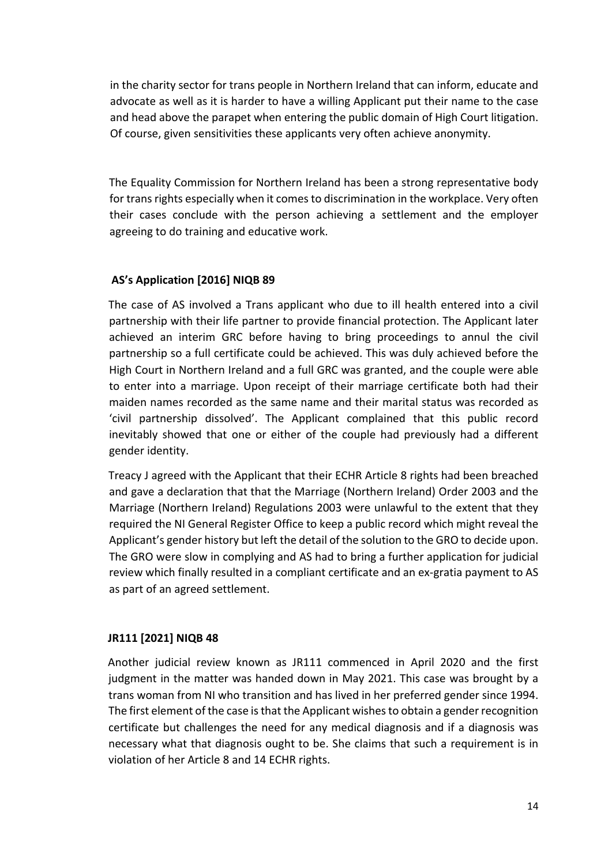in the charity sector for trans people in Northern Ireland that can inform, educate and advocate as well as it is harder to have a willing Applicant put their name to the case and head above the parapet when entering the public domain of High Court litigation. Of course, given sensitivities these applicants very often achieve anonymity.

The Equality Commission for Northern Ireland has been a strong representative body for trans rights especially when it comes to discrimination in the workplace. Very often their cases conclude with the person achieving a settlement and the employer agreeing to do training and educative work.

### **AS's Application [2016] NIQB 89**

The case of AS involved a Trans applicant who due to ill health entered into a civil partnership with their life partner to provide financial protection. The Applicant later achieved an interim GRC before having to bring proceedings to annul the civil partnership so a full certificate could be achieved. This was duly achieved before the High Court in Northern Ireland and a full GRC was granted, and the couple were able to enter into a marriage. Upon receipt of their marriage certificate both had their maiden names recorded as the same name and their marital status was recorded as 'civil partnership dissolved'. The Applicant complained that this public record inevitably showed that one or either of the couple had previously had a different gender identity.

Treacy J agreed with the Applicant that their ECHR Article 8 rights had been breached and gave a declaration that that the Marriage (Northern Ireland) Order 2003 and the Marriage (Northern Ireland) Regulations 2003 were unlawful to the extent that they required the NI General Register Office to keep a public record which might reveal the Applicant's gender history but left the detail of the solution to the GRO to decide upon. The GRO were slow in complying and AS had to bring a further application for judicial review which finally resulted in a compliant certificate and an ex-gratia payment to AS as part of an agreed settlement.

## **JR111 [2021] NIQB 48**

Another judicial review known as JR111 commenced in April 2020 and the first judgment in the matter was handed down in May 2021. This case was brought by a trans woman from NI who transition and has lived in her preferred gender since 1994. The first element of the case is that the Applicant wishes to obtain a gender recognition certificate but challenges the need for any medical diagnosis and if a diagnosis was necessary what that diagnosis ought to be. She claims that such a requirement is in violation of her Article 8 and 14 ECHR rights.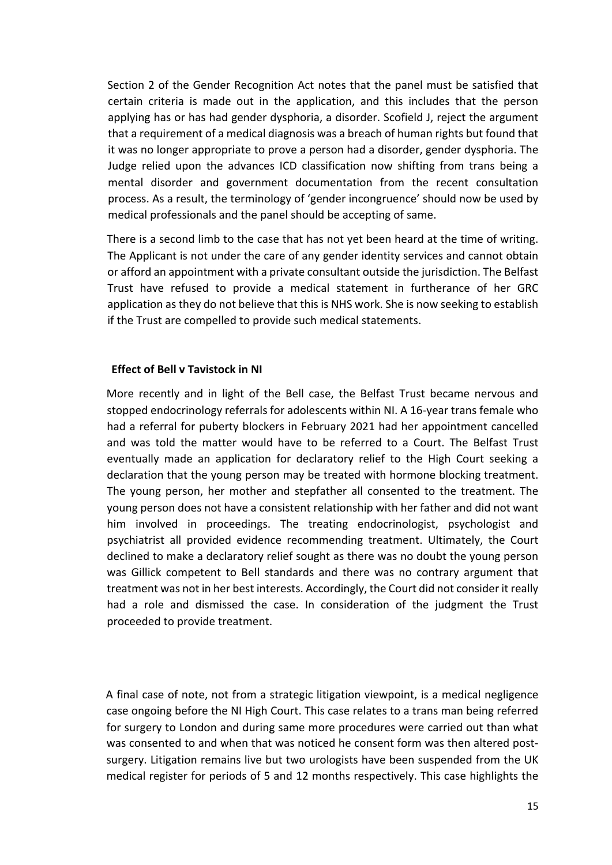Section 2 of the Gender Recognition Act notes that the panel must be satisfied that certain criteria is made out in the application, and this includes that the person applying has or has had gender dysphoria, a disorder. Scofield J, reject the argument that a requirement of a medical diagnosis was a breach of human rights but found that it was no longer appropriate to prove a person had a disorder, gender dysphoria. The Judge relied upon the advances ICD classification now shifting from trans being a mental disorder and government documentation from the recent consultation process. As a result, the terminology of 'gender incongruence' should now be used by medical professionals and the panel should be accepting of same.

There is a second limb to the case that has not yet been heard at the time of writing. The Applicant is not under the care of any gender identity services and cannot obtain or afford an appointment with a private consultant outside the jurisdiction. The Belfast Trust have refused to provide a medical statement in furtherance of her GRC application as they do not believe that this is NHS work. She is now seeking to establish if the Trust are compelled to provide such medical statements.

#### **Effect of Bell v Tavistock in NI**

More recently and in light of the Bell case, the Belfast Trust became nervous and stopped endocrinology referrals for adolescents within NI. A 16-year trans female who had a referral for puberty blockers in February 2021 had her appointment cancelled and was told the matter would have to be referred to a Court. The Belfast Trust eventually made an application for declaratory relief to the High Court seeking a declaration that the young person may be treated with hormone blocking treatment. The young person, her mother and stepfather all consented to the treatment. The young person does not have a consistent relationship with her father and did not want him involved in proceedings. The treating endocrinologist, psychologist and psychiatrist all provided evidence recommending treatment. Ultimately, the Court declined to make a declaratory relief sought as there was no doubt the young person was Gillick competent to Bell standards and there was no contrary argument that treatment was not in her best interests. Accordingly, the Court did not consider it really had a role and dismissed the case. In consideration of the judgment the Trust proceeded to provide treatment.

A final case of note, not from a strategic litigation viewpoint, is a medical negligence case ongoing before the NI High Court. This case relates to a trans man being referred for surgery to London and during same more procedures were carried out than what was consented to and when that was noticed he consent form was then altered postsurgery. Litigation remains live but two urologists have been suspended from the UK medical register for periods of 5 and 12 months respectively. This case highlights the